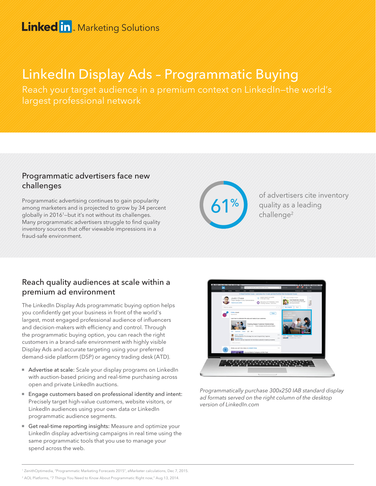### **Linked in Marketing Solutions**

# LinkedIn Display Ads – Programmatic Buying

Reach your target audience in a premium context on LinkedIn—the world's largest professional network

#### Programmatic advertisers face new challenges

Programmatic advertising continues to gain popularity among marketers and is projected to grow by 34 percent globally in 20161—but it's not without its challenges. Many programmatic advertisers struggle to find quality inventory sources that offer viewable impressions in a fraud-safe environment.



of advertisers cite inventory quality as a leading challenge2

#### Reach quality audiences at scale within a premium ad environment

The LinkedIn Display Ads programmatic buying option helps you confidently get your business in front of the world's largest, most engaged professional audience of influencers and decision-makers with efficiency and control. Through the programmatic buying option, you can reach the right customers in a brand-safe environment with highly visible Display Ads and accurate targeting using your preferred demand-side platform (DSP) or agency trading desk (ATD).

- Advertise at scale: Scale your display programs on LinkedIn with auction-based pricing and real-time purchasing across open and private LinkedIn auctions.
- Engage customers based on professional identity and intent: Precisely target high-value customers, website visitors, or LinkedIn audiences using your own data or LinkedIn programmatic audience segments.
- Get real-time reporting insights: Measure and optimize your LinkedIn display advertising campaigns in real time using the same programmatic tools that you use to manage your spend across the web.



Programmatically purchase 300x250 IAB standard display ad formats served on the right column of the desktop version of LinkedIn.com

<sup>2</sup> AOL Platforms, "7 Things You Need to Know About Programmatic Right now," Aug 13, 2014.

<sup>1</sup> ZenithOptimedia, "Programmatic Marketing Forecasts 2015", eMarketer calculations, Dec 7, 2015.